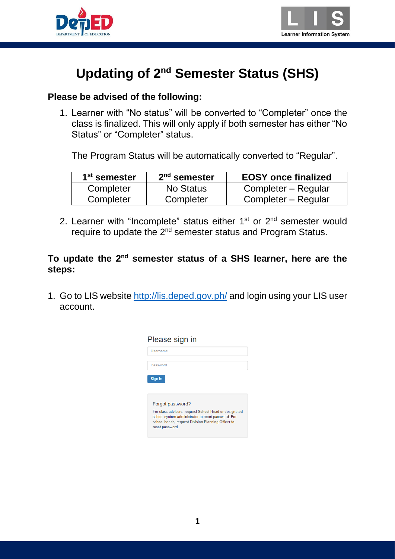



## **Updating of 2nd Semester Status (SHS)**

## **Please be advised of the following:**

1. Learner with "No status" will be converted to "Completer" once the class is finalized. This will only apply if both semester has either "No Status" or "Completer" status.

The Program Status will be automatically converted to "Regular".

| 1 <sup>st</sup> semester | $2nd$ semester | <b>EOSY</b> once finalized |  |  |
|--------------------------|----------------|----------------------------|--|--|
| Completer                | No Status      | Completer – Regular        |  |  |
| Completer                | Completer      | Completer – Regular        |  |  |

2. Learner with "Incomplete" status either  $1<sup>st</sup>$  or  $2<sup>nd</sup>$  semester would require to update the 2<sup>nd</sup> semester status and Program Status.

**To update the 2nd semester status of a SHS learner, here are the steps:**

1. Go to LIS website<http://lis.deped.gov.ph/> and login using your LIS user account.

| Please sign in                                                                                                                                                                       |
|--------------------------------------------------------------------------------------------------------------------------------------------------------------------------------------|
| Username                                                                                                                                                                             |
| Password                                                                                                                                                                             |
| Sign in                                                                                                                                                                              |
|                                                                                                                                                                                      |
| Forgot password?                                                                                                                                                                     |
| For class advisers, request School Head or designated<br>school system administrator to reset password. For<br>school heads, request Division Planning Officer to<br>reset password. |
|                                                                                                                                                                                      |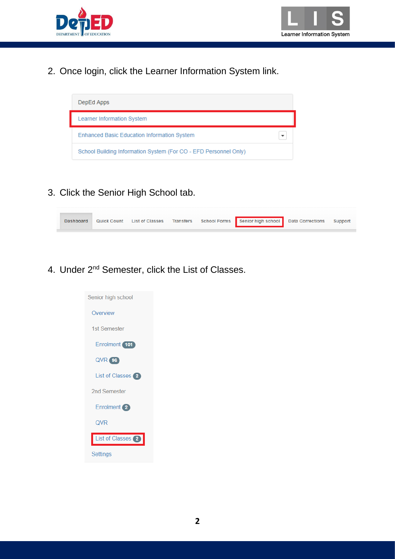



2. Once login, click the Learner Information System link.



3. Click the Senior High School tab.



4. Under 2<sup>nd</sup> Semester, click the List of Classes.

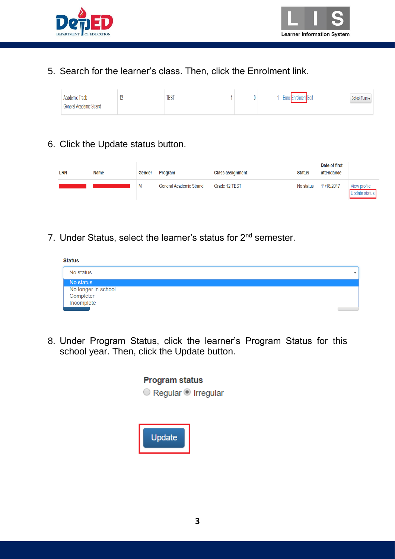



## 5. Search for the learner's class. Then, click the Enrolment link.

| <b>Academic Track</b><br>General Academic Strand |  | <b>TEST</b> |  |  |  | <b>Enroller</b><br>nrolment Edit | School Form |
|--------------------------------------------------|--|-------------|--|--|--|----------------------------------|-------------|
|--------------------------------------------------|--|-------------|--|--|--|----------------------------------|-------------|

## 6. Click the Update status button.

| LRN | Name | Gender | Program                        | <b>Class assignment</b> | <b>Status</b> | Date of first<br>attendance |                               |
|-----|------|--------|--------------------------------|-------------------------|---------------|-----------------------------|-------------------------------|
|     |      | M      | <b>General Academic Strand</b> | Grade 12 TEST           | No status     | 11/18/2017                  | View profile<br>Update status |

7. Under Status, select the learner's status for 2<sup>nd</sup> semester.



8. Under Program Status, click the learner's Program Status for this school year. Then, click the Update button.